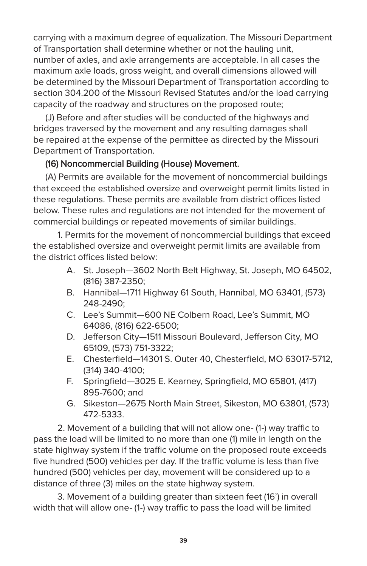carrying with a maximum degree of equalization. The Missouri Department of Transportation shall determine whether or not the hauling unit, number of axles, and axle arrangements are acceptable. In all cases the maximum axle loads, gross weight, and overall dimensions allowed will be determined by the Missouri Department of Transportation according to section 304.200 of the Missouri Revised Statutes and/or the load carrying capacity of the roadway and structures on the proposed route;

(J) Before and after studies will be conducted of the highways and bridges traversed by the movement and any resulting damages shall be repaired at the expense of the permittee as directed by the Missouri Department of Transportation.

## (16) Noncommercial Building (House) Movement.

(A) Permits are available for the movement of noncommercial buildings that exceed the established oversize and overweight permit limits listed in these regulations. These permits are available from district offices listed below. These rules and regulations are not intended for the movement of commercial buildings or repeated movements of similar buildings.

1. Permits for the movement of noncommercial buildings that exceed the established oversize and overweight permit limits are available from the district offices listed below:

- A. St. Joseph—3602 North Belt Highway, St. Joseph, MO 64502, (816) 387-2350;
- B. Hannibal—1711 Highway 61 South, Hannibal, MO 63401, (573) 248-2490;
- C. Lee's Summit—600 NE Colbern Road, Lee's Summit, MO 64086, (816) 622-6500;
- D. Jefferson City—1511 Missouri Boulevard, Jefferson City, MO 65109, (573) 751-3322;
- E. Chesterfield—14301 S. Outer 40, Chesterfield, MO 63017-5712, (314) 340-4100;
- F. Springfield—3025 E. Kearney, Springfield, MO 65801, (417) 895-7600; and
- G. Sikeston—2675 North Main Street, Sikeston, MO 63801, (573) 472-5333.

2. Movement of a building that will not allow one- (1-) way traffic to pass the load will be limited to no more than one (1) mile in length on the state highway system if the traffic volume on the proposed route exceeds five hundred (500) vehicles per day. If the traffic volume is less than five hundred (500) vehicles per day, movement will be considered up to a distance of three (3) miles on the state highway system.

3. Movement of a building greater than sixteen feet (16') in overall width that will allow one- (1-) way traffic to pass the load will be limited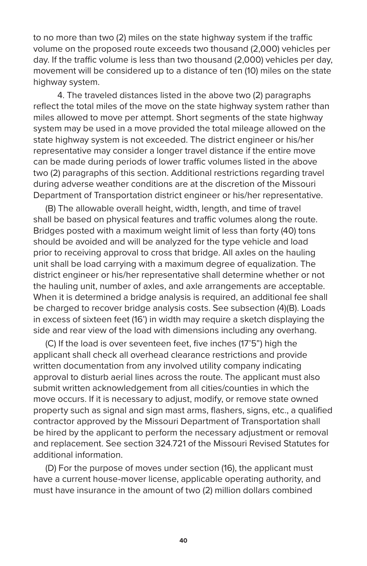to no more than two (2) miles on the state highway system if the traffic volume on the proposed route exceeds two thousand (2,000) vehicles per day. If the traffic volume is less than two thousand (2,000) vehicles per day, movement will be considered up to a distance of ten (10) miles on the state highway system.

4. The traveled distances listed in the above two (2) paragraphs reflect the total miles of the move on the state highway system rather than miles allowed to move per attempt. Short segments of the state highway system may be used in a move provided the total mileage allowed on the state highway system is not exceeded. The district engineer or his/her representative may consider a longer travel distance if the entire move can be made during periods of lower traffic volumes listed in the above two (2) paragraphs of this section. Additional restrictions regarding travel during adverse weather conditions are at the discretion of the Missouri Department of Transportation district engineer or his/her representative.

(B) The allowable overall height, width, length, and time of travel shall be based on physical features and traffic volumes along the route. Bridges posted with a maximum weight limit of less than forty (40) tons should be avoided and will be analyzed for the type vehicle and load prior to receiving approval to cross that bridge. All axles on the hauling unit shall be load carrying with a maximum degree of equalization. The district engineer or his/her representative shall determine whether or not the hauling unit, number of axles, and axle arrangements are acceptable. When it is determined a bridge analysis is required, an additional fee shall be charged to recover bridge analysis costs. See subsection (4)(B). Loads in excess of sixteen feet (16') in width may require a sketch displaying the side and rear view of the load with dimensions including any overhang.

(C) If the load is over seventeen feet, five inches (17'5") high the applicant shall check all overhead clearance restrictions and provide written documentation from any involved utility company indicating approval to disturb aerial lines across the route. The applicant must also submit written acknowledgement from all cities/counties in which the move occurs. If it is necessary to adjust, modify, or remove state owned property such as signal and sign mast arms, flashers, signs, etc., a qualified contractor approved by the Missouri Department of Transportation shall be hired by the applicant to perform the necessary adjustment or removal and replacement. See section 324.721 of the Missouri Revised Statutes for additional information.

(D) For the purpose of moves under section (16), the applicant must have a current house-mover license, applicable operating authority, and must have insurance in the amount of two (2) million dollars combined